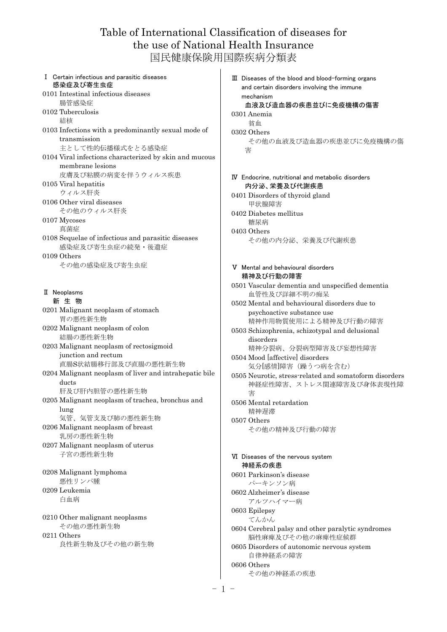## Table of International Classification of diseases for the use of National Health Insurance 国民健康保険用国際疾病分類表

Ⅰ Certain infectious and parasitic diseases 感染症及び寄生虫症 0101 Intestinal infectious diseases 腸管感染症 0102 Tuberculosis 結核 0103 Infections with a predominantly sexual mode of transmission 主として性的伝播様式をとる感染症 0104 Viral infections characterized by skin and mucous membrane lesions 皮膚及び粘膜の病変を伴うウィルス疾患 0105 Viral hepatitis ウィルス肝炎 0106 Other viral diseases その他のウィルス肝炎 0107 Mycoses 真菌症 0108 Sequelae of infectious and parasitic diseases 感染症及び寄生虫症の続発・後遺症  $0109$  Others その他の感染症及び寄生虫症 Ⅱ Neoplasms 新 生 物 0201 Malignant neoplasm of stomach 胃の悪性新生物 0202 Malignant neoplasm of colon 結腸の悪性新生物 0203 Malignant neoplasm of rectosigmoid junction and rectum 直腸S状結腸移行部及び直腸の悪性新生物 0204 Malignant neoplasm of liver and intrahepatic bile ducts 肝及び肝内胆管の悪性新生物 0205 Malignant neoplasm of trachea, bronchus and lung 気管、気管支及び肺の悪性新生物 0206 Malignant neoplasm of breast 乳房の悪性新生物 0207 Malignant neoplasm of uterus 子宮の悪性新生物 0208 Malignant lymphoma 悪性リンパ腫 0209 Leukemia 白血病 0210 Other malignant neoplasms その他の悪性新生物 0211 Others 良性新生物及びその他の新生物

Ⅲ Diseases of the blood and blood-forming organs and certain disorders involving the immune mechanism 血液及び造血器の疾患並びに免疫機構の傷害 0301 Anemia 貧血 0302 Others その他の血液及び造血器の疾患並びに免疫機構の傷 害 Ⅳ Endocrine, nutritional and metabolic disorders 内分泌、栄養及び代謝疾患 0401 Disorders of thyroid gland 甲状腺障害 0402 Diabetes mellitus 糖尿病 0403 Others その他の内分泌、栄養及び代謝疾患 Ⅴ Mental and behavioural disorders 精神及び行動の障害 0501 Vascular dementia and unspecified dementia 血管性及び詳細不明の痴呆 0502 Mental and behavioural disorders due to psychoactive substance use 精神作用物質使用による精神及び行動の障害 0503 Schizophrenia, schizotypal and delusional disorders 精神分裂病、分裂病型障害及び妄想性障害 0504 Mood [affective] disorders 気分[感情]障害(躁うつ病を含む) 0505 Neurotic, stress-related and somatoform disorders 神経症性障害、ストレス関連障害及び身体表現性障

害 0506 Mental retardation 精神遅滞 0507 Others その他の精神及び行動の障害

Ⅵ Diseases of the nervous system 神経系の疾患 0601 Parkinson's disease パーキンソン病 0602 Alzheimer's disease アルツハイマー病 0603 Epilepsy てんかん 0604 Cerebral palsy and other paralytic syndromes 脳性麻痺及びその他の麻痺性症候群 0605 Disorders of autonomic nervous system 自律神経系の障害 0606 Others その他の神経系の疾患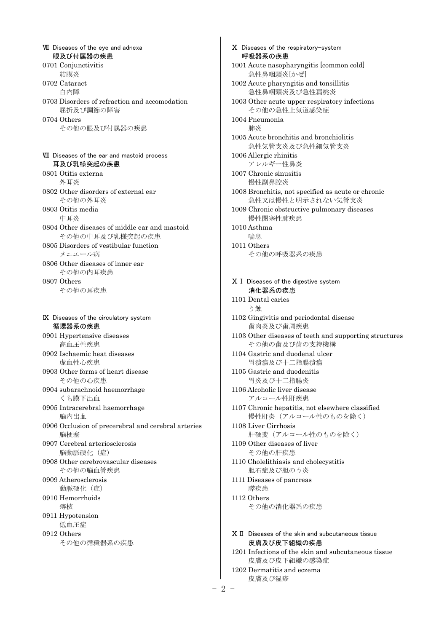Ⅶ Diseases of the eye and adnexa 眼及び付属器の疾患 0701 Conjunctivitis 結膜炎 0702 Cataract 白内障 0703 Disorders of refraction and accomodation 屈折及び調節の障害 0704 Others その他の眼及び付属器の疾患 Ⅷ Diseases of the ear and mastoid process 耳及び乳様突起の疾患 0801 Otitis externa 外耳炎 0802 Other disorders of external ear その他の外耳炎 0803 Otitis media 中耳炎 0804 Other diseases of middle ear and mastoid その他の中耳及び乳様突起の疾患 0805 Disorders of vestibular function メニエール病 0806 Other diseases of inner ear その他の内耳疾患 0807 Others その他の耳疾患 Ⅸ Diseases of the circulatory system 循環器系の疾患 0901 Hypertensive diseases 高血圧性疾患 0902 Ischaemic heat diseases 虚血性心疾患 0903 Other forms of heart disease その他の心疾患 0904 subarachnoid haemorrhage くも膜下出血 0905 Intracerebral haemorrhage 脳内出血 0906 Occlusion of precerebral and cerebral arteries 脳梗塞 0907 Cerebral arteriosclerosis 脳動脈硬化(症) 0908 Other cerebrovascular diseases その他の脳血管疾患 0909 Atherosclerosis 動脈硬化(症) 0910 Hemorrhoids 痔核 0911 Hypotension 低血圧症 0912 Others その他の循環器系の疾患

Ⅹ Diseases of the respiratory-system 呼吸器系の疾患 1001 Acute nasopharyngitis [common cold] 急性鼻咽頭炎[かぜ] 1002 Acute pharyngitis and tonsillitis 急性鼻咽頭炎及び急性扁桃炎 1003 Other acute upper respiratory infections その他の急性上気道感染症 1004 Pneumonia 肺炎 1005 Acute bronchitis and bronchiolitis 急性気管支炎及び急性細気管支炎 1006 Allergic rhinitis アレルギー性鼻炎 1007 Chronic sinusitis 慢性副鼻腔炎 1008 Bronchitis, not specified as acute or chronic 急性又は慢性と明示されない気管支炎 1009 Chronic obstructive pulmonary diseases 慢性閉塞性肺疾患 1010 Asthma 喘息 1011 Others その他の呼吸器系の疾患 ⅩⅠ Diseases of the digestive system 消化器系の疾患 1101 Dental caries う蝕 1102 Gingivitis and periodontal disease 歯肉炎及び歯周疾患 1103 Other diseases of teeth and supporting structures その他の歯及び歯の支持機構 1104 Gastric and duodenal ulcer 胃潰瘍及び十二指腸潰瘍 1105 Gastric and duodenitis 胃炎及び十二指腸炎 1106 Alcoholic liver disease アルコール性肝疾患 1107 Chronic hepatitis, not elsewhere classified 慢性肝炎(アルコール性のものを除く) 1108 Liver Cirrhosis 肝硬変(アルコール性のものを除く) 1109 Other diseases of liver その他の肝疾患 1110 Cholelithiasis and cholecystitis 胆石症及び胆のう炎 1111 Diseases of pancreas 膵疾患 1112 Others その他の消化器系の疾患 ⅩⅡ Diseases of the skin and subcutaneous tissue 皮膚及び皮下組織の疾患 1201 Infections of the skin and subcutaneous tissue 皮膚及び皮下組織の感染症

1202 Dermatitis and eczema 皮膚及び湿疹